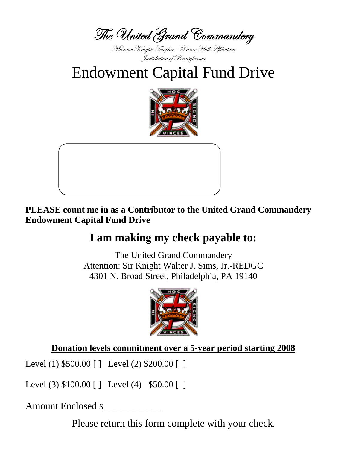The United Grand Commandery

Masonic Knights Templar - Prince Hall Affiliation Jurisdiction of Pennsylvania

**Endowment Capital Fund Drive** 





PLEASE count me in as a Contributor to the United Grand Commandery **Endowment Capital Fund Drive** 

## I am making my check payable to:

The United Grand Commandery Attention: Sir Knight Walter J. Sims, Jr.-REDGC 4301 N. Broad Street, Philadelphia, PA 19140



Donation levels commitment over a 5-year period starting 2008

Level (1)  $$500.00$  [] Level (2)  $$200.00$  []

Level (3)  $$100.00$  [] Level (4)  $$50.00$  []

Amount Enclosed \$

Please return this form complete with your check.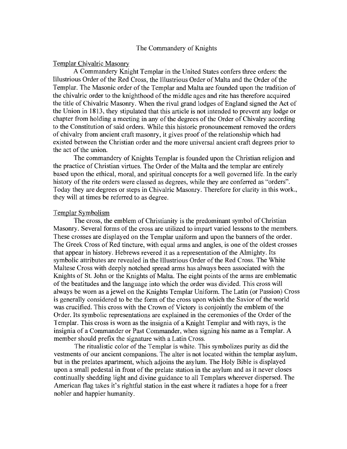#### The Commandery of Knights

#### Templar Chivalric Masonry

A Commandery Knight Templar in the United States confers three orders: the Illustrious Order of the Red Cross, the Illustrious Order of Malta and the Order of the Templar. The Masonic order of the Templar and Malta are founded upon the tradition of the chivalric order to the knighthood of the middle ages and rite has therefore acquired the title of Chivalric Masonry. When the rival grand lodges of England signed the Act of the Union in 1813, they stipulated that this article is not intended to prevent any lodge or chapter from holding a meeting in any of the degrees of the Order of Chivalry according to the Constitution of said orders. While this historic pronouncement removed the orders of chivalry from ancient craft masonry, it gives proof ofthe relationship which had existed between the Christian order and the more universal ancient craft degrees prior to the act of the union.

The commandery of Knights Templar is founded upon the Christian religion and the practice of Christian virtues. The Order of the Malta and the templar are entirely based upon the ethical, moral, and spiritual concepts for a well governed life. In the early history of the rite orders were classed as degrees, while they are conferred as "orders". Today they are degrees or steps in Chivalric Masonry. Therefore for clarity in this work., they will at times be referred to as degree.

#### Templar Symbolism

The cross, the emblem of Christianity is the predominant symbol of Christian Masonry. Several forms of the cross are utilized to impart varied lessons to the members. These crosses are displayed on the Templar uniform and upon the banners of the order. The Greek Cross of Red tincture, with equal arms and angles, is one of the oldest crosses that appear in history. Hebrews revered it as a representation of the Almighty. Its symbolic attributes are revealed in the Illustrious Order of the Red Cross. The White Maltese Cross with deeply notched spread arms has always been associated with the Knights of St. John or the Knights of Malta. The eight points of the arms are emblematic of the beatitudes and the language into which the order was divided. This cross will always be worn as ajewel on the Knights Templar Uniform. The Latin (or Passion) Cross is generally considered to be the form of the cross upon which the Savior of the world was crucified. This cross with the Crown of Victory is conjointly the emblem of the Order. Its symbolic representations are explained in the ceremonies of the Order of the Templar. This cross is worn as the insignia of a Knight Templar and with rays, is the insignia of a Commander or Past Commander, when signing his name as a Templar. A member should prefix the signature with a Latin Cross.

The ritualistic color of the Templar is white. This symbolizes purity as did the vestments of our ancient companions. The alter is not located within the templar asylum, but in the prelates apartment, which adjoins the asylum. The Holy Bible is displayed upon a small pedestal in front of the prelate station in the asylum and as it never closes continually shedding light and divine guidance to all Templars wherever dispersed. The American flag takes it's rightful station in the east where it radiates a hope for a freer nobler and happier humanity.